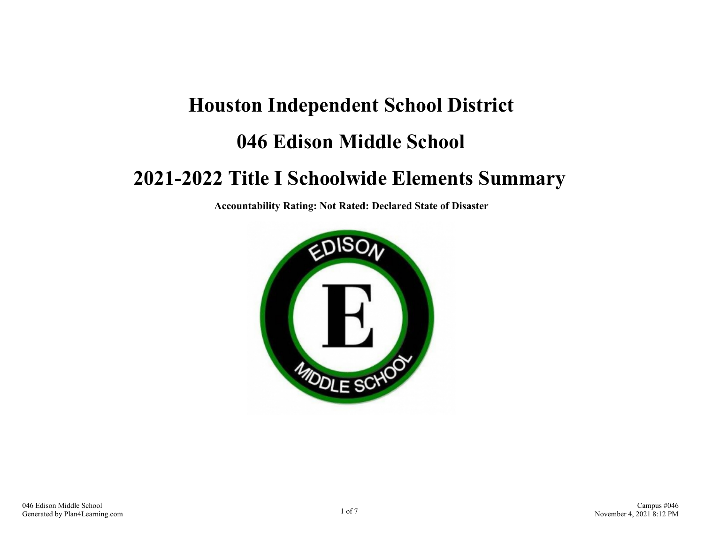# **Houston Independent School District 046 Edison Middle School**

### **2021-2022 Title I Schoolwide Elements Summary**

**Accountability Rating: Not Rated: Declared State of Disaster**

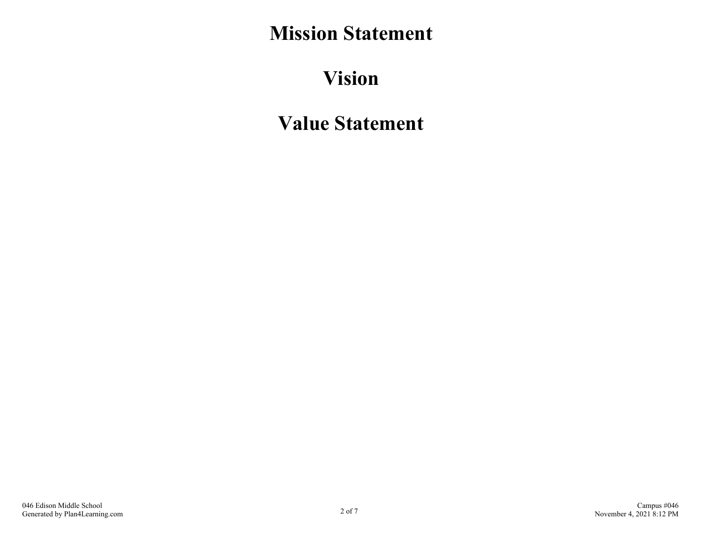# **Mission Statement**

# **Vision**

# **Value Statement**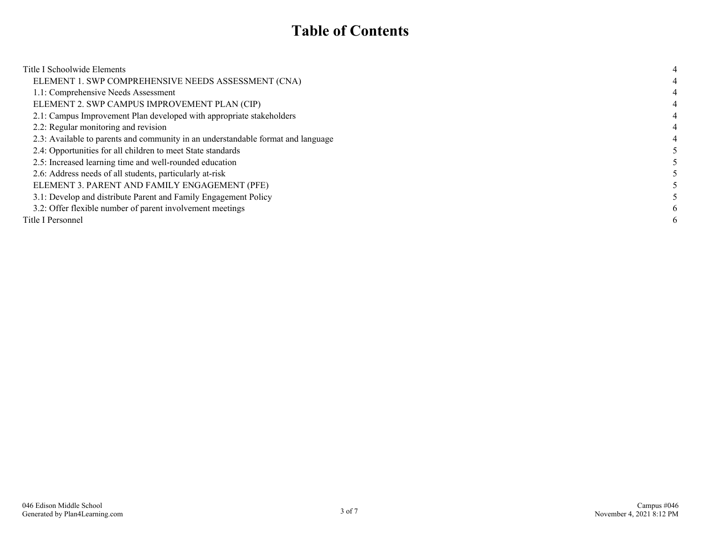#### **Table of Contents**

| Title I Schoolwide Elements                                                      |   |
|----------------------------------------------------------------------------------|---|
| ELEMENT 1. SWP COMPREHENSIVE NEEDS ASSESSMENT (CNA)                              |   |
| 1.1: Comprehensive Needs Assessment                                              | 4 |
| ELEMENT 2. SWP CAMPUS IMPROVEMENT PLAN (CIP)                                     |   |
| 2.1: Campus Improvement Plan developed with appropriate stakeholders             |   |
| 2.2: Regular monitoring and revision                                             |   |
| 2.3: Available to parents and community in an understandable format and language |   |
| 2.4: Opportunities for all children to meet State standards                      |   |
| 2.5: Increased learning time and well-rounded education                          |   |
| 2.6: Address needs of all students, particularly at-risk                         |   |
| ELEMENT 3. PARENT AND FAMILY ENGAGEMENT (PFE)                                    |   |
| 3.1: Develop and distribute Parent and Family Engagement Policy                  |   |
| 3.2: Offer flexible number of parent involvement meetings                        | 6 |
| Title I Personnel                                                                | 6 |
|                                                                                  |   |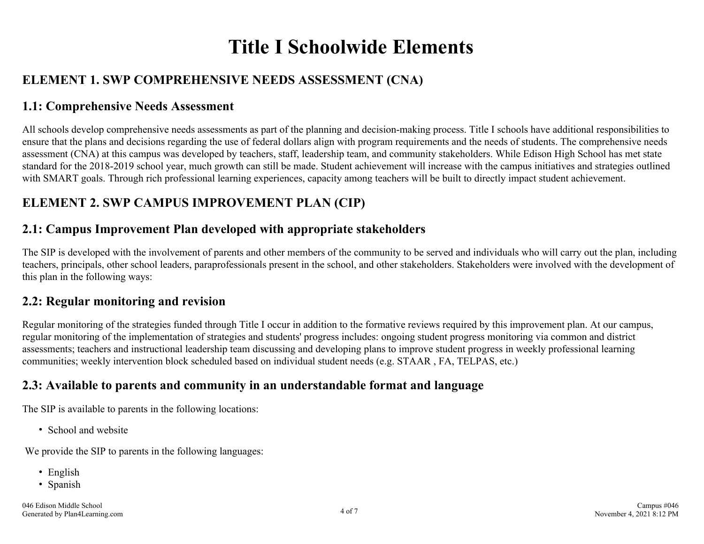# **Title I Schoolwide Elements**

#### <span id="page-3-0"></span>**ELEMENT 1. SWP COMPREHENSIVE NEEDS ASSESSMENT (CNA)**

#### **1.1: Comprehensive Needs Assessment**

All schools develop comprehensive needs assessments as part of the planning and decision-making process. Title I schools have additional responsibilities to ensure that the plans and decisions regarding the use of federal dollars align with program requirements and the needs of students. The comprehensive needs assessment (CNA) at this campus was developed by teachers, staff, leadership team, and community stakeholders. While Edison High School has met state standard for the 2018-2019 school year, much growth can still be made. Student achievement will increase with the campus initiatives and strategies outlined with SMART goals. Through rich professional learning experiences, capacity among teachers will be built to directly impact student achievement.

#### **ELEMENT 2. SWP CAMPUS IMPROVEMENT PLAN (CIP)**

#### **2.1: Campus Improvement Plan developed with appropriate stakeholders**

The SIP is developed with the involvement of parents and other members of the community to be served and individuals who will carry out the plan, including teachers, principals, other school leaders, paraprofessionals present in the school, and other stakeholders. Stakeholders were involved with the development of this plan in the following ways:

#### **2.2: Regular monitoring and revision**

Regular monitoring of the strategies funded through Title I occur in addition to the formative reviews required by this improvement plan. At our campus, regular monitoring of the implementation of strategies and students' progress includes: ongoing student progress monitoring via common and district assessments; teachers and instructional leadership team discussing and developing plans to improve student progress in weekly professional learning communities; weekly intervention block scheduled based on individual student needs (e.g. STAAR , FA, TELPAS, etc.)

#### **2.3: Available to parents and community in an understandable format and language**

The SIP is available to parents in the following locations:

• School and website

We provide the SIP to parents in the following languages:

- English
- Spanish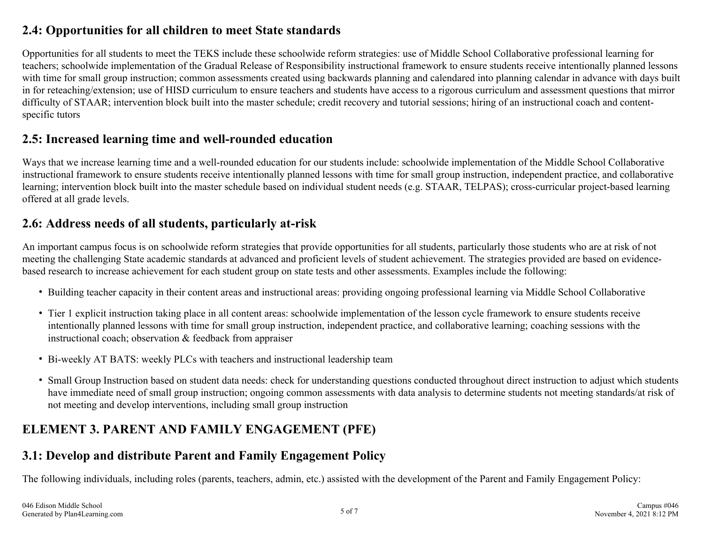#### <span id="page-4-0"></span>**2.4: Opportunities for all children to meet State standards**

Opportunities for all students to meet the TEKS include these schoolwide reform strategies: use of Middle School Collaborative professional learning for teachers; schoolwide implementation of the Gradual Release of Responsibility instructional framework to ensure students receive intentionally planned lessons with time for small group instruction; common assessments created using backwards planning and calendared into planning calendar in advance with days built in for reteaching/extension; use of HISD curriculum to ensure teachers and students have access to a rigorous curriculum and assessment questions that mirror difficulty of STAAR; intervention block built into the master schedule; credit recovery and tutorial sessions; hiring of an instructional coach and contentspecific tutors

#### **2.5: Increased learning time and well-rounded education**

Ways that we increase learning time and a well-rounded education for our students include: schoolwide implementation of the Middle School Collaborative instructional framework to ensure students receive intentionally planned lessons with time for small group instruction, independent practice, and collaborative learning; intervention block built into the master schedule based on individual student needs (e.g. STAAR, TELPAS); cross-curricular project-based learning offered at all grade levels.

#### **2.6: Address needs of all students, particularly at-risk**

An important campus focus is on schoolwide reform strategies that provide opportunities for all students, particularly those students who are at risk of not meeting the challenging State academic standards at advanced and proficient levels of student achievement. The strategies provided are based on evidencebased research to increase achievement for each student group on state tests and other assessments. Examples include the following:

- Building teacher capacity in their content areas and instructional areas: providing ongoing professional learning via Middle School Collaborative
- Tier 1 explicit instruction taking place in all content areas: schoolwide implementation of the lesson cycle framework to ensure students receive intentionally planned lessons with time for small group instruction, independent practice, and collaborative learning; coaching sessions with the instructional coach; observation & feedback from appraiser
- Bi-weekly AT BATS: weekly PLCs with teachers and instructional leadership team
- Small Group Instruction based on student data needs: check for understanding questions conducted throughout direct instruction to adjust which students have immediate need of small group instruction; ongoing common assessments with data analysis to determine students not meeting standards/at risk of not meeting and develop interventions, including small group instruction

#### **ELEMENT 3. PARENT AND FAMILY ENGAGEMENT (PFE)**

#### **3.1: Develop and distribute Parent and Family Engagement Policy**

The following individuals, including roles (parents, teachers, admin, etc.) assisted with the development of the Parent and Family Engagement Policy: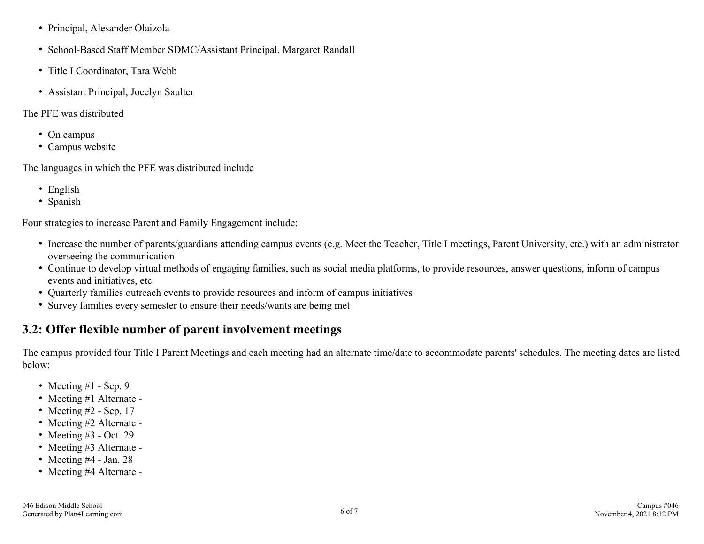- <span id="page-5-0"></span>Principal, Alesander Olaizola
- School-Based Staff Member SDMC/Assistant Principal, Margaret Randall
- Title I Coordinator, Tara Webb
- Assistant Principal, Jocelyn Saulter
- The PFE was distributed
	- On campus
	- Campus website

The languages in which the PFE was distributed include

- English
- Spanish

Four strategies to increase Parent and Family Engagement include:

- Increase the number of parents/guardians attending campus events (e.g. Meet the Teacher, Title I meetings, Parent University, etc.) with an administrator overseeing the communication
- Continue to develop virtual methods of engaging families, such as social media platforms, to provide resources, answer questions, inform of campus events and initiatives, etc
- Quarterly families outreach events to provide resources and inform of campus initiatives
- Survey families every semester to ensure their needs/wants are being met

#### **3.2: Offer flexible number of parent involvement meetings**

The campus provided four Title I Parent Meetings and each meeting had an alternate time/date to accommodate parents' schedules. The meeting dates are listed below:

- Meeting  $#1$  Sep. 9
- Meeting #1 Alternate -
- Meeting  $#2$  Sep. 17
- Meeting #2 Alternate -
- Meeting  $#3$  Oct. 29
- Meeting #3 Alternate -
- Meeting  $#4$  Jan. 28
- Meeting #4 Alternate -